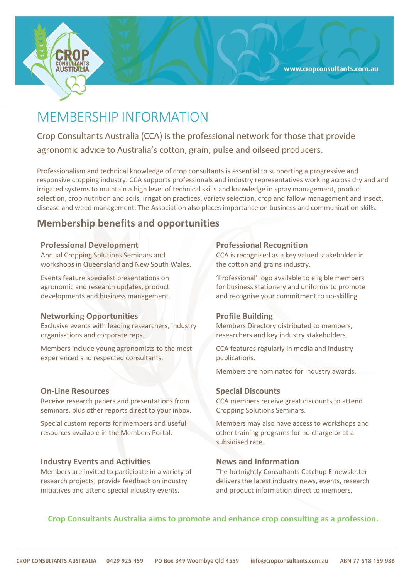

# MEMBERSHIP INFORMATION

Crop Consultants Australia (CCA) is the professional network for those that provide agronomic advice to Australia's cotton, grain, pulse and oilseed producers.

Professionalism and technical knowledge of crop consultants is essential to supporting a progressive and responsive cropping industry. CCA supports professionals and industry representatives working across dryland and irrigated systems to maintain a high level of technical skills and knowledge in spray management, product selection, crop nutrition and soils, irrigation practices, variety selection, crop and fallow management and insect, disease and weed management. The Association also places importance on business and communication skills.

### **Membership benefits and opportunities**

#### **Professional Development**

Annual Cropping Solutions Seminars and workshops in Queensland and New South Wales.

Events feature specialist presentations on agronomic and research updates, product developments and business management.

#### **Networking Opportunities**

Exclusive events with leading researchers, industry organisations and corporate reps.

Members include young agronomists to the most experienced and respected consultants.

#### **On-Line Resources**

Receive research papers and presentations from seminars, plus other reports direct to your inbox.

Special custom reports for members and useful resources available in the Members Portal.

#### **Industry Events and Activities**

Members are invited to participate in a variety of research projects, provide feedback on industry initiatives and attend special industry events.

#### **Professional Recognition**

CCA is recognised as a key valued stakeholder in the cotton and grains industry.

'Professional' logo available to eligible members for business stationery and uniforms to promote and recognise your commitment to up-skilling.

#### **Profile Building**

Members Directory distributed to members, researchers and key industry stakeholders.

CCA features regularly in media and industry publications.

Members are nominated for industry awards.

#### **Special Discounts**

CCA members receive great discounts to attend Cropping Solutions Seminars.

Members may also have access to workshops and other training programs for no charge or at a subsidised rate.

#### **News and Information**

The fortnightly Consultants Catchup E-newsletter delivers the latest industry news, events, research and product information direct to members.

#### **Crop Consultants Australia aims to promote and enhance crop consulting as a profession.**